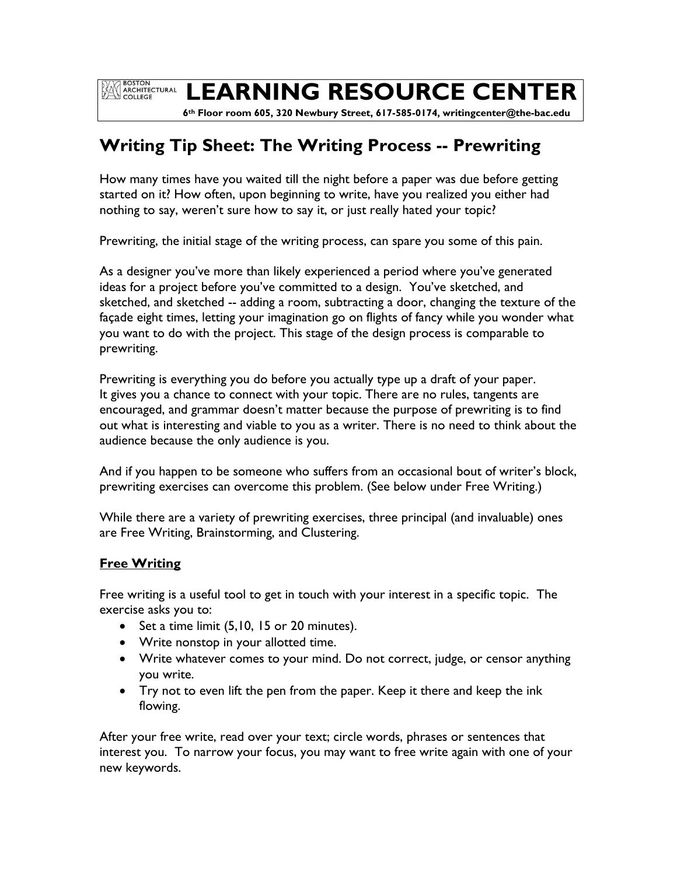**EXAMPLE BOSTON<br>ARCHITECTURAL**<br>COLLEGE

# **LEARNING RESOURCE CENTER**

 **6th Floor room 605, 320 Newbury Street, 617-585-0174, writingcenter@the-bac.edu**

# **Writing Tip Sheet: The Writing Process -- Prewriting**

How many times have you waited till the night before a paper was due before getting started on it? How often, upon beginning to write, have you realized you either had nothing to say, weren't sure how to say it, or just really hated your topic?

Prewriting, the initial stage of the writing process, can spare you some of this pain.

As a designer you've more than likely experienced a period where you've generated ideas for a project before you've committed to a design. You've sketched, and sketched, and sketched -- adding a room, subtracting a door, changing the texture of the façade eight times, letting your imagination go on flights of fancy while you wonder what you want to do with the project. This stage of the design process is comparable to prewriting.

Prewriting is everything you do before you actually type up a draft of your paper. It gives you a chance to connect with your topic. There are no rules, tangents are encouraged, and grammar doesn't matter because the purpose of prewriting is to find out what is interesting and viable to you as a writer. There is no need to think about the audience because the only audience is you.

And if you happen to be someone who suffers from an occasional bout of writer's block, prewriting exercises can overcome this problem. (See below under Free Writing.)

While there are a variety of prewriting exercises, three principal (and invaluable) ones are Free Writing, Brainstorming, and Clustering.

# **Free Writing**

Free writing is a useful tool to get in touch with your interest in a specific topic. The exercise asks you to:

- $\bullet$  Set a time limit (5,10, 15 or 20 minutes).
- Write nonstop in your allotted time.
- Write whatever comes to your mind. Do not correct, judge, or censor anything you write.
- Try not to even lift the pen from the paper. Keep it there and keep the ink flowing.

After your free write, read over your text; circle words, phrases or sentences that interest you. To narrow your focus, you may want to free write again with one of your new keywords.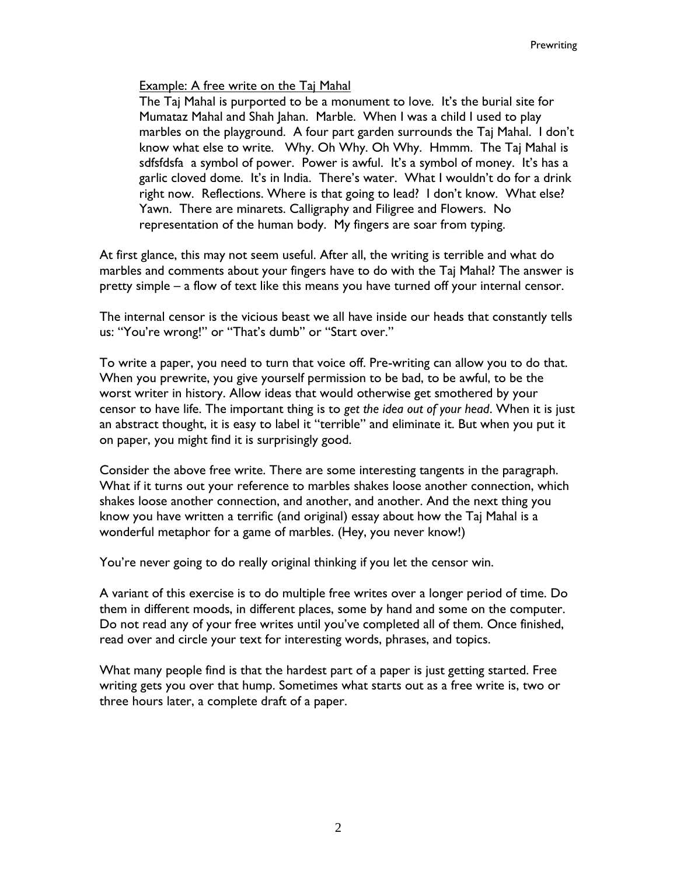#### Example: A free write on the Taj Mahal

The Taj Mahal is purported to be a monument to love. It's the burial site for Mumataz Mahal and Shah Jahan. Marble. When I was a child I used to play marbles on the playground. A four part garden surrounds the Taj Mahal. I don't know what else to write. Why. Oh Why. Oh Why. Hmmm. The Taj Mahal is sdfsfdsfa a symbol of power. Power is awful. It's a symbol of money. It's has a garlic cloved dome. It's in India. There's water. What I wouldn't do for a drink right now. Reflections. Where is that going to lead? I don't know. What else? Yawn. There are minarets. Calligraphy and Filigree and Flowers. No representation of the human body. My fingers are soar from typing.

At first glance, this may not seem useful. After all, the writing is terrible and what do marbles and comments about your fingers have to do with the Taj Mahal? The answer is pretty simple – a flow of text like this means you have turned off your internal censor.

The internal censor is the vicious beast we all have inside our heads that constantly tells us: "You're wrong!" or "That's dumb" or "Start over."

To write a paper, you need to turn that voice off. Pre-writing can allow you to do that. When you prewrite, you give yourself permission to be bad, to be awful, to be the worst writer in history. Allow ideas that would otherwise get smothered by your censor to have life. The important thing is to *get the idea out of your head*. When it is just an abstract thought, it is easy to label it "terrible" and eliminate it. But when you put it on paper, you might find it is surprisingly good.

Consider the above free write. There are some interesting tangents in the paragraph. What if it turns out your reference to marbles shakes loose another connection, which shakes loose another connection, and another, and another. And the next thing you know you have written a terrific (and original) essay about how the Taj Mahal is a wonderful metaphor for a game of marbles. (Hey, you never know!)

You're never going to do really original thinking if you let the censor win.

A variant of this exercise is to do multiple free writes over a longer period of time. Do them in different moods, in different places, some by hand and some on the computer. Do not read any of your free writes until you've completed all of them. Once finished, read over and circle your text for interesting words, phrases, and topics.

What many people find is that the hardest part of a paper is just getting started. Free writing gets you over that hump. Sometimes what starts out as a free write is, two or three hours later, a complete draft of a paper.